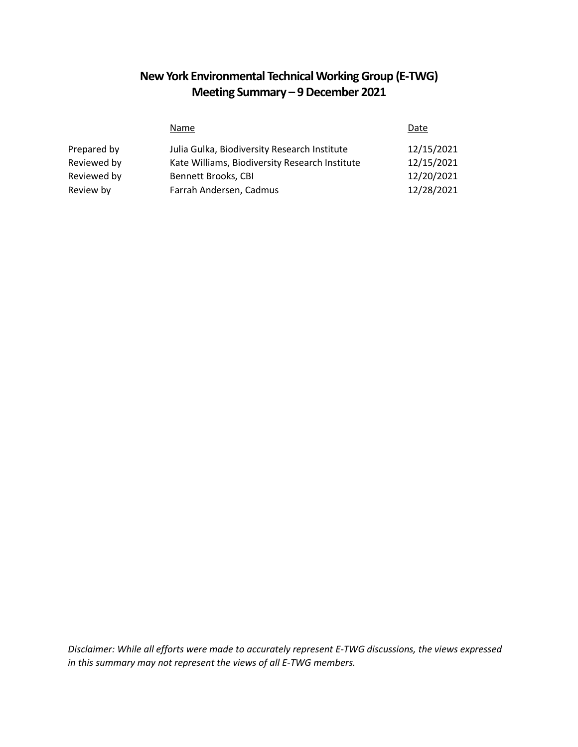# **New York Environmental Technical Working Group (E-TWG) Meeting Summary – 9December 2021**

|             | Name                                           | Date       |
|-------------|------------------------------------------------|------------|
| Prepared by | Julia Gulka, Biodiversity Research Institute   | 12/15/2021 |
| Reviewed by | Kate Williams, Biodiversity Research Institute | 12/15/2021 |
| Reviewed by | Bennett Brooks, CBI                            | 12/20/2021 |
| Review by   | Farrah Andersen, Cadmus                        | 12/28/2021 |

*Disclaimer: While all efforts were made to accurately represent E-TWG discussions, the views expressed in this summary may not represent the views of all E-TWG members.*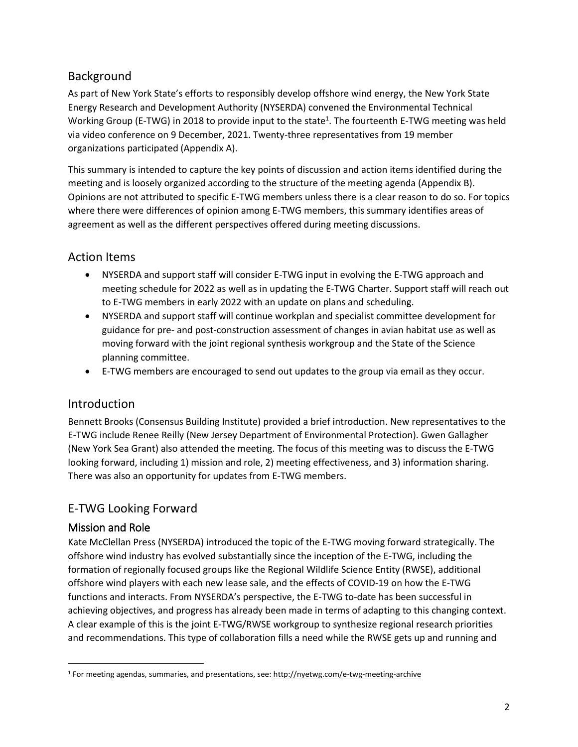# **Background**

As part of New York State's efforts to responsibly develop offshore wind energy, the New York State Energy Research and Development Authority (NYSERDA) convened the Environmental Technical Working Group (E-TWG) in 2018 to provide input to the state<sup>1</sup>. The fourteenth E-TWG meeting was held via video conference on 9 December, 2021. Twenty-three representatives from 19 member organizations participated (Appendix A).

This summary is intended to capture the key points of discussion and action items identified during the meeting and is loosely organized according to the structure of the meeting agenda (Appendix B). Opinions are not attributed to specific E-TWG members unless there is a clear reason to do so. For topics where there were differences of opinion among E-TWG members, this summary identifies areas of agreement as well as the different perspectives offered during meeting discussions.

# Action Items

- NYSERDA and support staff will consider E-TWG input in evolving the E-TWG approach and meeting schedule for 2022 as well as in updating the E-TWG Charter. Support staff will reach out to E-TWG members in early 2022 with an update on plans and scheduling.
- NYSERDA and support staff will continue workplan and specialist committee development for guidance for pre- and post-construction assessment of changes in avian habitat use as well as moving forward with the joint regional synthesis workgroup and the State of the Science planning committee.
- E-TWG members are encouraged to send out updates to the group via email as they occur.

# Introduction

Bennett Brooks (Consensus Building Institute) provided a brief introduction. New representatives to the E-TWG include Renee Reilly (New Jersey Department of Environmental Protection). Gwen Gallagher (New York Sea Grant) also attended the meeting. The focus of this meeting was to discuss the E-TWG looking forward, including 1) mission and role, 2) meeting effectiveness, and 3) information sharing. There was also an opportunity for updates from E-TWG members.

# E-TWG Looking Forward

### Mission and Role

 $\overline{a}$ 

Kate McClellan Press (NYSERDA) introduced the topic of the E-TWG moving forward strategically. The offshore wind industry has evolved substantially since the inception of the E-TWG, including the formation of regionally focused groups like the Regional Wildlife Science Entity (RWSE), additional offshore wind players with each new lease sale, and the effects of COVID-19 on how the E-TWG functions and interacts. From NYSERDA's perspective, the E-TWG to-date has been successful in achieving objectives, and progress has already been made in terms of adapting to this changing context. A clear example of this is the joint E-TWG/RWSE workgroup to synthesize regional research priorities and recommendations. This type of collaboration fills a need while the RWSE gets up and running and

<sup>&</sup>lt;sup>1</sup> For meeting agendas, summaries, and presentations, see: [http://nyetwg.com/e](http://nyetwg.com/)-twg-meeting-archive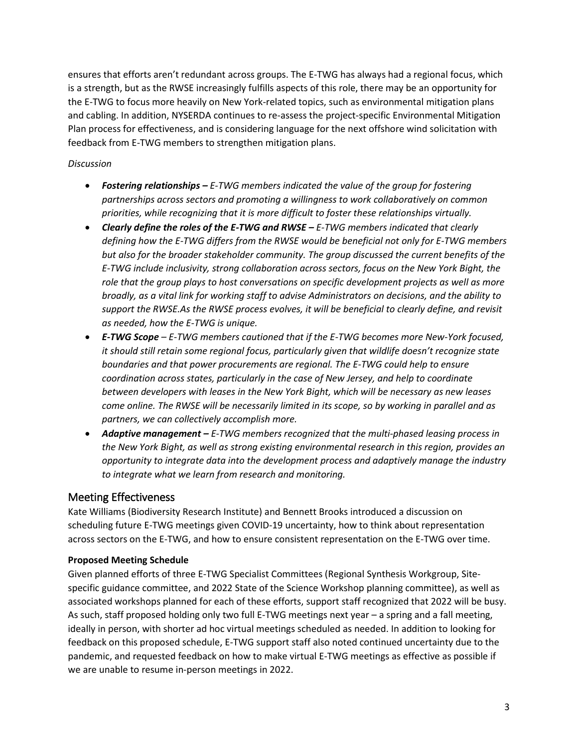ensures that efforts aren't redundant across groups. The E-TWG has always had a regional focus, which is a strength, but as the RWSE increasingly fulfills aspects of this role, there may be an opportunity for the E-TWG to focus more heavily on New York-related topics, such as environmental mitigation plans and cabling. In addition, NYSERDA continues to re-assess the project-specific Environmental Mitigation Plan process for effectiveness, and is considering language for the next offshore wind solicitation with feedback from E-TWG members to strengthen mitigation plans.

#### *Discussion*

- *Fostering relationships – E-TWG members indicated the value of the group for fostering partnerships across sectors and promoting a willingness to work collaboratively on common priorities, while recognizing that it is more difficult to foster these relationships virtually.*
- *Clearly define the roles of the E-TWG and RWSE E-TWG members indicated that clearly defining how the E-TWG differs from the RWSE would be beneficial not only for E-TWG members but also for the broader stakeholder community. The group discussed the current benefits of the E-TWG include inclusivity, strong collaboration across sectors, focus on the New York Bight, the role that the group plays to host conversations on specific development projects as well as more broadly, as a vital link for working staff to advise Administrators on decisions, and the ability to support the RWSE.As the RWSE process evolves, it will be beneficial to clearly define, and revisit as needed, how the E-TWG is unique.*
- *E-TWG Scope – E-TWG members cautioned that if the E-TWG becomes more New-York focused, it should still retain some regional focus, particularly given that wildlife doesn't recognize state boundaries and that power procurements are regional. The E-TWG could help to ensure coordination across states, particularly in the case of New Jersey, and help to coordinate between developers with leases in the New York Bight, which will be necessary as new leases come online. The RWSE will be necessarily limited in its scope, so by working in parallel and as partners, we can collectively accomplish more.*
- *Adaptive management – E-TWG members recognized that the multi-phased leasing process in the New York Bight, as well as strong existing environmental research in this region, provides an opportunity to integrate data into the development process and adaptively manage the industry to integrate what we learn from research and monitoring.*

### Meeting Effectiveness

Kate Williams (Biodiversity Research Institute) and Bennett Brooks introduced a discussion on scheduling future E-TWG meetings given COVID-19 uncertainty, how to think about representation across sectors on the E-TWG, and how to ensure consistent representation on the E-TWG over time.

#### **Proposed Meeting Schedule**

Given planned efforts of three E-TWG Specialist Committees (Regional Synthesis Workgroup, Sitespecific guidance committee, and 2022 State of the Science Workshop planning committee), as well as associated workshops planned for each of these efforts, support staff recognized that 2022 will be busy. As such, staff proposed holding only two full E-TWG meetings next year – a spring and a fall meeting, ideally in person, with shorter ad hoc virtual meetings scheduled as needed. In addition to looking for feedback on this proposed schedule, E-TWG support staff also noted continued uncertainty due to the pandemic, and requested feedback on how to make virtual E-TWG meetings as effective as possible if we are unable to resume in-person meetings in 2022.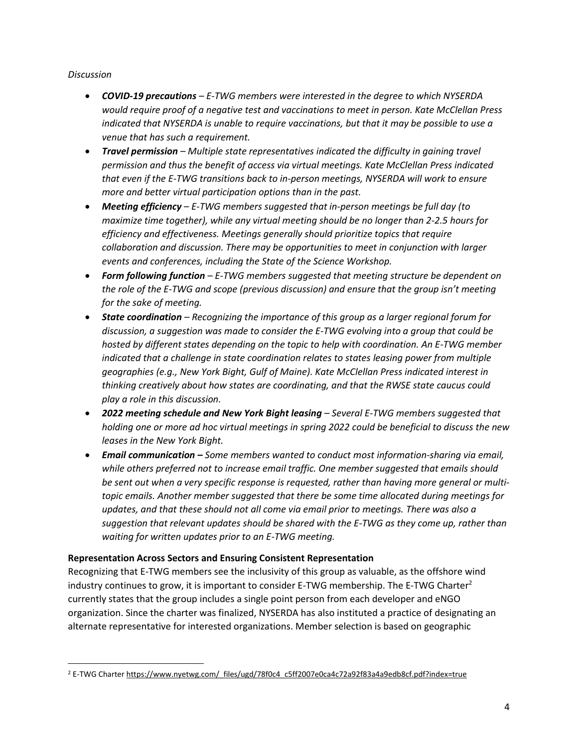#### *Discussion*

 $\overline{a}$ 

- *COVID-19 precautions – E-TWG members were interested in the degree to which NYSERDA would require proof of a negative test and vaccinations to meet in person. Kate McClellan Press indicated that NYSERDA is unable to require vaccinations, but that it may be possible to use a venue that has such a requirement.*
- *Travel permission – Multiple state representatives indicated the difficulty in gaining travel permission and thus the benefit of access via virtual meetings. Kate McClellan Press indicated that even if the E-TWG transitions back to in-person meetings, NYSERDA will work to ensure more and better virtual participation options than in the past.*
- *Meeting efficiency – E-TWG members suggested that in-person meetings be full day (to maximize time together), while any virtual meeting should be no longer than 2-2.5 hours for efficiency and effectiveness. Meetings generally should prioritize topics that require collaboration and discussion. There may be opportunities to meet in conjunction with larger events and conferences, including the State of the Science Workshop.*
- *Form following function – E-TWG members suggested that meeting structure be dependent on the role of the E-TWG and scope (previous discussion) and ensure that the group isn't meeting for the sake of meeting.*
- *State coordination – Recognizing the importance of this group as a larger regional forum for discussion, a suggestion was made to consider the E-TWG evolving into a group that could be hosted by different states depending on the topic to help with coordination. An E-TWG member indicated that a challenge in state coordination relates to states leasing power from multiple geographies (e.g., New York Bight, Gulf of Maine). Kate McClellan Press indicated interest in thinking creatively about how states are coordinating, and that the RWSE state caucus could play a role in this discussion.*
- *2022 meeting schedule and New York Bight leasing – Several E-TWG members suggested that holding one or more ad hoc virtual meetings in spring 2022 could be beneficial to discuss the new leases in the New York Bight.*
- *Email communication – Some members wanted to conduct most information-sharing via email, while others preferred not to increase email traffic. One member suggested that emails should be sent out when a very specific response is requested, rather than having more general or multitopic emails. Another member suggested that there be some time allocated during meetings for updates, and that these should not all come via email prior to meetings. There was also a suggestion that relevant updates should be shared with the E-TWG as they come up, rather than waiting for written updates prior to an E-TWG meeting.*

#### **Representation Across Sectors and Ensuring Consistent Representation**

Recognizing that E-TWG members see the inclusivity of this group as valuable, as the offshore wind industry continues to grow, it is important to consider E-TWG membership. The E-TWG Charter<sup>2</sup> currently states that the group includes a single point person from each developer and eNGO organization. Since the charter was finalized, NYSERDA has also instituted a practice of designating an alternate representative for interested organizations. Member selection is based on geographic

<sup>&</sup>lt;sup>2</sup> E-TWG Charter [https://www.nyetwg.com/\\_files/ugd/78f0c4\\_c5ff2007e0ca4c72a92f83a4a9edb8cf.pdf?index=true](https://www.nyetwg.com/_files/ugd/78f0c4_c5ff2007e0ca4c72a92f83a4a9edb8cf.pdf?index=true)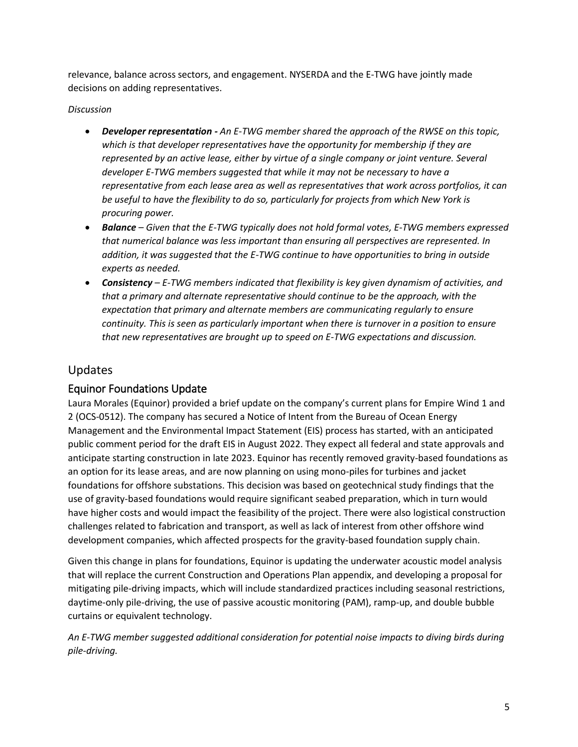relevance, balance across sectors, and engagement. NYSERDA and the E-TWG have jointly made decisions on adding representatives.

#### *Discussion*

- *Developer representation - An E-TWG member shared the approach of the RWSE on this topic,*  which is that developer representatives have the opportunity for membership if they are *represented by an active lease, either by virtue of a single company or joint venture. Several developer E-TWG members suggested that while it may not be necessary to have a representative from each lease area as well as representatives that work across portfolios, it can be useful to have the flexibility to do so, particularly for projects from which New York is procuring power.*
- *Balance – Given that the E-TWG typically does not hold formal votes, E-TWG members expressed that numerical balance was less important than ensuring all perspectives are represented. In addition, it was suggested that the E-TWG continue to have opportunities to bring in outside experts as needed.*
- *Consistency – E-TWG members indicated that flexibility is key given dynamism of activities, and that a primary and alternate representative should continue to be the approach, with the expectation that primary and alternate members are communicating regularly to ensure continuity. This is seen as particularly important when there is turnover in a position to ensure that new representatives are brought up to speed on E-TWG expectations and discussion.*

### Updates

### Equinor Foundations Update

Laura Morales (Equinor) provided a brief update on the company's current plans for Empire Wind 1 and 2 (OCS-0512). The company has secured a Notice of Intent from the Bureau of Ocean Energy Management and the Environmental Impact Statement (EIS) process has started, with an anticipated public comment period for the draft EIS in August 2022. They expect all federal and state approvals and anticipate starting construction in late 2023. Equinor has recently removed gravity-based foundations as an option for its lease areas, and are now planning on using mono-piles for turbines and jacket foundations for offshore substations. This decision was based on geotechnical study findings that the use of gravity-based foundations would require significant seabed preparation, which in turn would have higher costs and would impact the feasibility of the project. There were also logistical construction challenges related to fabrication and transport, as well as lack of interest from other offshore wind development companies, which affected prospects for the gravity-based foundation supply chain.

Given this change in plans for foundations, Equinor is updating the underwater acoustic model analysis that will replace the current Construction and Operations Plan appendix, and developing a proposal for mitigating pile-driving impacts, which will include standardized practices including seasonal restrictions, daytime-only pile-driving, the use of passive acoustic monitoring (PAM), ramp-up, and double bubble curtains or equivalent technology.

*An E-TWG member suggested additional consideration for potential noise impacts to diving birds during pile-driving.*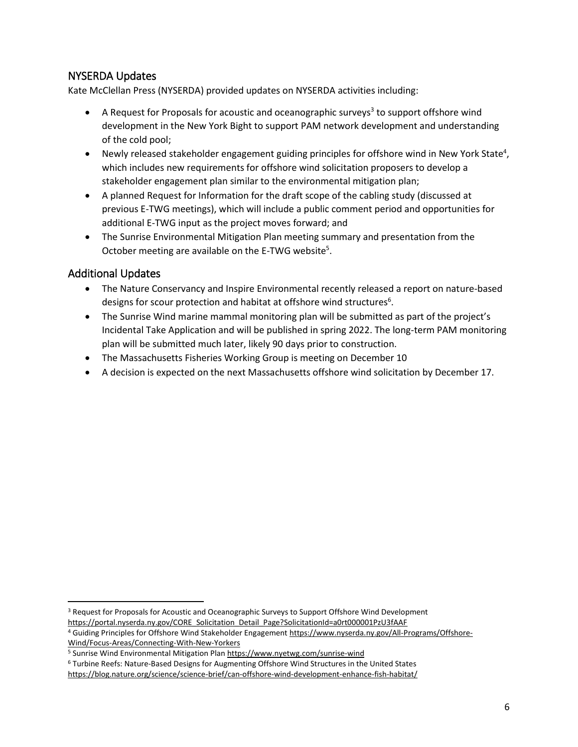### NYSERDA Updates

Kate McClellan Press (NYSERDA) provided updates on NYSERDA activities including:

- $\bullet$  A Request for Proposals for acoustic and oceanographic surveys<sup>3</sup> to support offshore wind development in the New York Bight to support PAM network development and understanding of the cold pool;
- Newly released stakeholder engagement guiding principles for offshore wind in New York State<sup>4</sup>, which includes new requirements for offshore wind solicitation proposers to develop a stakeholder engagement plan similar to the environmental mitigation plan;
- A planned Request for Information for the draft scope of the cabling study (discussed at previous E-TWG meetings), which will include a public comment period and opportunities for additional E-TWG input as the project moves forward; and
- The Sunrise Environmental Mitigation Plan meeting summary and presentation from the October meeting are available on the E-TWG website<sup>5</sup>.

### Additional Updates

 $\overline{\phantom{a}}$ 

- The Nature Conservancy and Inspire Environmental recently released a report on nature-based designs for scour protection and habitat at offshore wind structures<sup>6</sup>.
- The Sunrise Wind marine mammal monitoring plan will be submitted as part of the project's Incidental Take Application and will be published in spring 2022. The long-term PAM monitoring plan will be submitted much later, likely 90 days prior to construction.
- The Massachusetts Fisheries Working Group is meeting on December 10
- A decision is expected on the next Massachusetts offshore wind solicitation by December 17.

[https://portal.nyserda.ny.gov/CORE\\_Solicitation\\_Detail\\_Page?SolicitationId=a0rt000001PzU3fAAF](https://portal.nyserda.ny.gov/CORE_Solicitation_Detail_Page?SolicitationId=a0rt000001PzU3fAAF)

<sup>&</sup>lt;sup>3</sup> Request for Proposals for Acoustic and Oceanographic Surveys to Support Offshore Wind Development

<sup>4</sup> Guiding Principles for Offshore Wind Stakeholder Engagemen[t https://www.nyserda.ny.gov/All-Programs/Offshore-](https://www.nyserda.ny.gov/All-Programs/Offshore-Wind/Focus-Areas/Connecting-With-New-Yorkers)[Wind/Focus-Areas/Connecting-With-New-Yorkers](https://www.nyserda.ny.gov/All-Programs/Offshore-Wind/Focus-Areas/Connecting-With-New-Yorkers)

<sup>5</sup> Sunrise Wind Environmental Mitigation Plan <https://www.nyetwg.com/sunrise-wind>

<sup>6</sup> Turbine Reefs: Nature-Based Designs for Augmenting Offshore Wind Structures in the United States <https://blog.nature.org/science/science-brief/can-offshore-wind-development-enhance-fish-habitat/>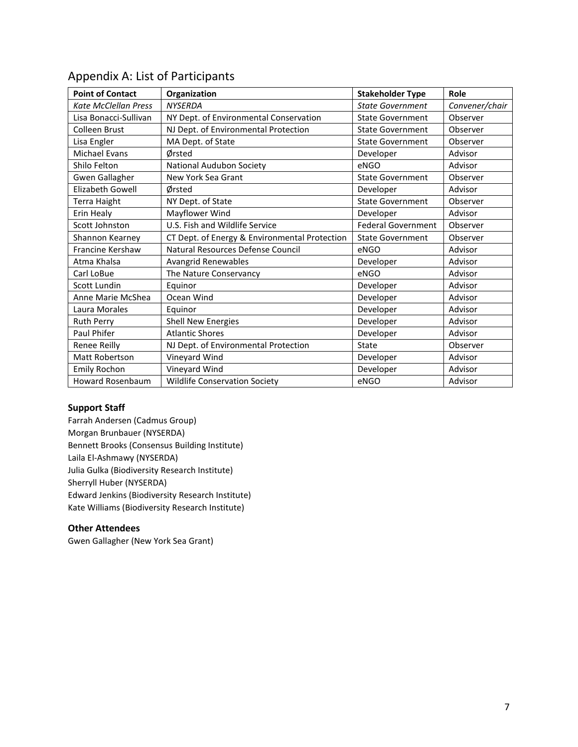| <b>Point of Contact</b>     | Organization                                  | <b>Stakeholder Type</b>   | Role           |
|-----------------------------|-----------------------------------------------|---------------------------|----------------|
| <b>Kate McClellan Press</b> | <b>NYSERDA</b>                                | <b>State Government</b>   | Convener/chair |
| Lisa Bonacci-Sullivan       | NY Dept. of Environmental Conservation        | <b>State Government</b>   | Observer       |
| Colleen Brust               | NJ Dept. of Environmental Protection          | <b>State Government</b>   | Observer       |
| Lisa Engler                 | MA Dept. of State                             | <b>State Government</b>   | Observer       |
| <b>Michael Evans</b>        | Ørsted                                        | Developer                 | Advisor        |
| Shilo Felton                | National Audubon Society                      | eNGO                      | Advisor        |
| Gwen Gallagher              | New York Sea Grant                            | <b>State Government</b>   | Observer       |
| <b>Elizabeth Gowell</b>     | Ørsted                                        | Developer                 | Advisor        |
| Terra Haight                | NY Dept. of State                             | <b>State Government</b>   | Observer       |
| Erin Healy                  | Mayflower Wind                                | Developer                 | Advisor        |
| Scott Johnston              | U.S. Fish and Wildlife Service                | <b>Federal Government</b> | Observer       |
| Shannon Kearney             | CT Dept. of Energy & Environmental Protection | <b>State Government</b>   | Observer       |
| Francine Kershaw            | Natural Resources Defense Council             | eNGO                      | Advisor        |
| Atma Khalsa                 | Avangrid Renewables                           | Developer                 | Advisor        |
| Carl LoBue                  | The Nature Conservancy                        | eNGO                      | Advisor        |
| Scott Lundin                | Equinor                                       | Developer                 | Advisor        |
| Anne Marie McShea           | Ocean Wind                                    | Developer                 | Advisor        |
| Laura Morales               | Equinor                                       | Developer                 | Advisor        |
| <b>Ruth Perry</b>           | <b>Shell New Energies</b>                     | Developer                 | Advisor        |
| Paul Phifer                 | <b>Atlantic Shores</b>                        | Developer                 | Advisor        |
| Renee Reilly                | NJ Dept. of Environmental Protection          | <b>State</b>              | Observer       |
| Matt Robertson              | Vineyard Wind                                 | Developer                 | Advisor        |
| <b>Emily Rochon</b>         | Vineyard Wind                                 | Developer                 | Advisor        |
| <b>Howard Rosenbaum</b>     | <b>Wildlife Conservation Society</b>          | eNGO                      | Advisor        |

### Appendix A: List of Participants

#### **Support Staff**

Farrah Andersen (Cadmus Group) Morgan Brunbauer (NYSERDA) Bennett Brooks (Consensus Building Institute) Laila El-Ashmawy (NYSERDA) Julia Gulka (Biodiversity Research Institute) Sherryll Huber (NYSERDA) Edward Jenkins (Biodiversity Research Institute) Kate Williams (Biodiversity Research Institute)

#### **Other Attendees**

Gwen Gallagher (New York Sea Grant)